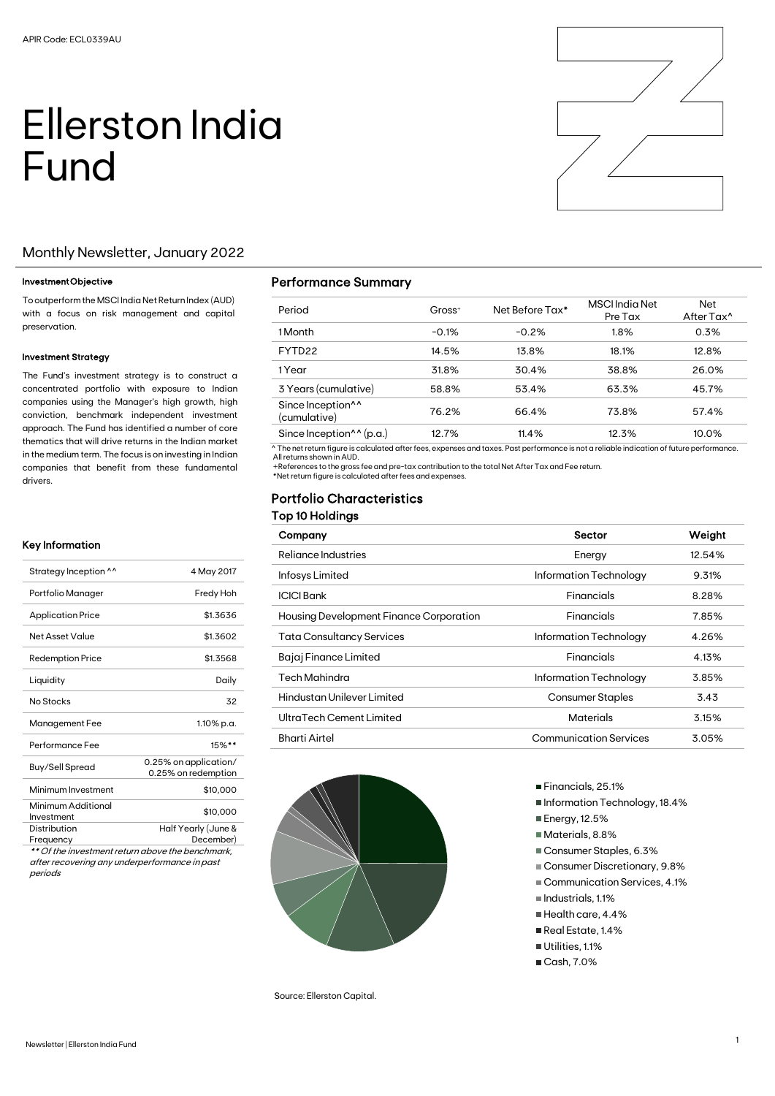# Ellerston India Fund



# Monthly Newsletter, January 2022

#### Investment Objective

To outperform the MSCI India Net Return Index (AUD) with a focus on risk management and capital preservation.

#### Investment Strategy

The Fund's investment strategy is to construct a concentrated portfolio with exposure to Indian companies using the Manager's high growth, high conviction, benchmark independent investment approach. The Fund has identified a number of core thematics that will drive returns in the Indian market in the medium term. The focus is on investing in Indian companies that benefit from these fundamental drivers.

#### Key Information

| Strategy Inception ^^            | 4 May 2017                                   |
|----------------------------------|----------------------------------------------|
| Portfolio Manager                | Fredy Hoh                                    |
| <b>Application Price</b>         | \$1.3636                                     |
| Net Asset Value                  | \$1.3602                                     |
| <b>Redemption Price</b>          | \$1.3568                                     |
| Liquidity                        | Daily                                        |
| No Stocks                        | 32                                           |
| Management Fee                   | 1.10% p.a.                                   |
| Performance Fee                  | $15\%$ **                                    |
| <b>Buy/Sell Spread</b>           | 0.25% on application/<br>0.25% on redemption |
| Minimum Investment               | \$10,000                                     |
| Minimum Additional<br>Investment | \$10,000                                     |
| Distribution<br>Frequency        | Half Yearly (June &<br>December)             |

\*\* Of the investment return above the benchmark, after recovering any underperformance in past periods

### Performance Summary

| Period                                        | $Gross+$ | Net Before Tax* | <b>MSCI</b> India Net<br>Pre Tax | Net<br>After Tax <sup>^</sup> |
|-----------------------------------------------|----------|-----------------|----------------------------------|-------------------------------|
| 1 Month                                       | $-0.1%$  | $-0.2%$         | 1.8%                             | 0.3%                          |
| FYTD <sub>22</sub>                            | 14.5%    | 13.8%           | 18.1%                            | 12.8%                         |
| 1 Year                                        | 31.8%    | 30.4%           | 38.8%                            | 26.0%                         |
| 3 Years (cumulative)                          | 58.8%    | 53.4%           | 63.3%                            | 45.7%                         |
| Since Inception <sup>11</sup><br>(cumulative) | 76.2%    | 66.4%           | 73.8%                            | 57.4%                         |
| Since Inception $\wedge$ (p.a.)               | 12.7%    | 11.4%           | 12.3%                            | 10.0%                         |

^ The net return figure is calculated after fees, expenses and taxes. Past performance is not a reliable indication of future performance. All returns shown in AUD.

+References to the gross fee and pre-tax contribution to the total Net After Tax and Fee return.

\*Net return figure is calculated after fees and expenses.

# Portfolio Characteristics

|  | Top 10 Holdings |  |
|--|-----------------|--|
|  |                 |  |

| Company                                 | Sector                        | Weight |
|-----------------------------------------|-------------------------------|--------|
| Reliance Industries                     | Energy                        | 12.54% |
| Infosys Limited                         | Information Technology        | 9.31%  |
| <b>ICICI Bank</b>                       | Financials                    | 8.28%  |
| Housing Development Finance Corporation | Financials                    | 7.85%  |
| <b>Tata Consultancy Services</b>        | Information Technology        | 4.26%  |
| Bajaj Finance Limited                   | Financials                    | 4.13%  |
| <b>Tech Mahindra</b>                    | Information Technology        | 3.85%  |
| Hindustan Unilever Limited              | <b>Consumer Staples</b>       | 3.43   |
| UltraTech Cement Limited                | <b>Materials</b>              | 3.15%  |
| <b>Bharti Airtel</b>                    | <b>Communication Services</b> | 3.05%  |



Source: Ellerston Capital.

- Financials, 25.1%
- Information Technology, 18.4%
- Energy, 12.5%
- Materials, 8.8%
- Consumer Staples, 6.3%
- Consumer Discretionary, 9.8%
- Communication Services, 4.1%
- $\blacksquare$  Industrials, 1.1%
- Health care, 4.4%
- Real Estate, 1.4%
- Utilities, 1.1%
- Cash, 7.0%